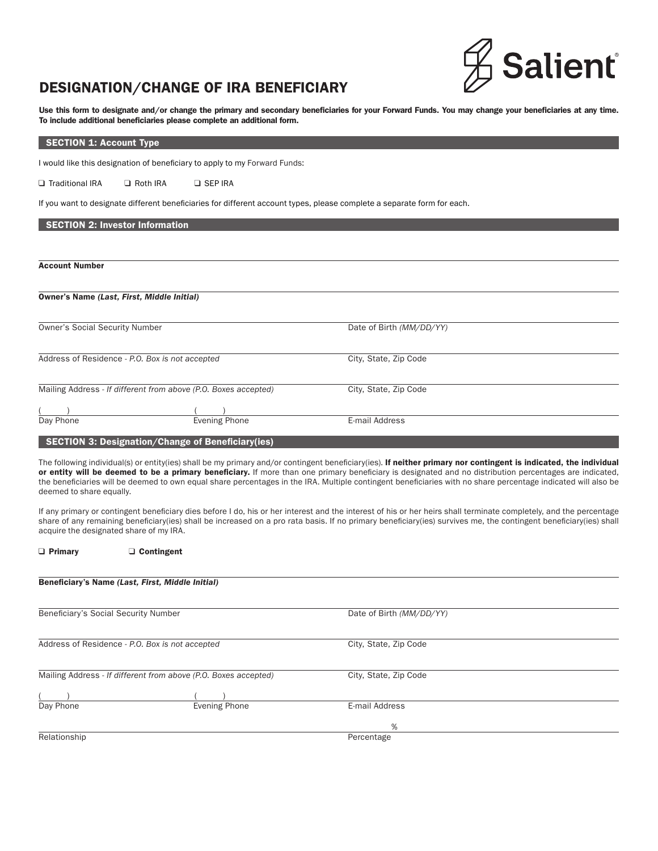

# DESIGNATION/CHANGE OF IRA BENEFICIARY

Use this form to designate and/or change the primary and secondary beneficiaries for your Forward Funds. You may change your beneficiaries at any time. To include additional beneficiaries please complete an additional form.

SECTION 1: Account Type

I would like this designation of beneficiary to apply to my Forward Funds:

□ Traditional IRA □ Roth IRA □ SEP IRA

If you want to designate different beneficiaries for different account types, please complete a separate form for each.

## SECTION 2: Investor Information

Account Number

| Owner's Name (Last, First, Middle Initial)                                               |                                                                 |                          |  |
|------------------------------------------------------------------------------------------|-----------------------------------------------------------------|--------------------------|--|
| <b>Owner's Social Security Number</b><br>Address of Residence - P.O. Box is not accepted |                                                                 | Date of Birth (MM/DD/YY) |  |
|                                                                                          |                                                                 | City, State, Zip Code    |  |
|                                                                                          | Mailing Address - If different from above (P.O. Boxes accepted) | City, State, Zip Code    |  |
|                                                                                          |                                                                 |                          |  |
| Day Phone                                                                                | Evening Phone                                                   | E-mail Address           |  |

# SECTION 3: Designation/Change of Beneficiary(ies)

Primary Contingent

The following individual(s) or entity(ies) shall be my primary and/or contingent beneficiary(ies). If neither primary nor contingent is indicated, the individual or entity will be deemed to be a primary beneficiary. If more than one primary beneficiary is designated and no distribution percentages are indicated, the beneficiaries will be deemed to own equal share percentages in the IRA. Multiple contingent beneficiaries with no share percentage indicated will also be deemed to share equally.

If any primary or contingent beneficiary dies before I do, his or her interest and the interest of his or her heirs shall terminate completely, and the percentage share of any remaining beneficiary(ies) shall be increased on a pro rata basis. If no primary beneficiary(ies) survives me, the contingent beneficiary(ies) shall acquire the designated share of my IRA.

| Beneficiary's Name (Last, First, Middle Initial)                |                      |                          |  |
|-----------------------------------------------------------------|----------------------|--------------------------|--|
| Beneficiary's Social Security Number                            |                      | Date of Birth (MM/DD/YY) |  |
| Address of Residence - P.O. Box is not accepted                 |                      | City, State, Zip Code    |  |
| Mailing Address - If different from above (P.O. Boxes accepted) |                      | City, State, Zip Code    |  |
|                                                                 | <b>Evening Phone</b> | E-mail Address           |  |
| Day Phone                                                       |                      | %                        |  |
| Relationship                                                    |                      | Percentage               |  |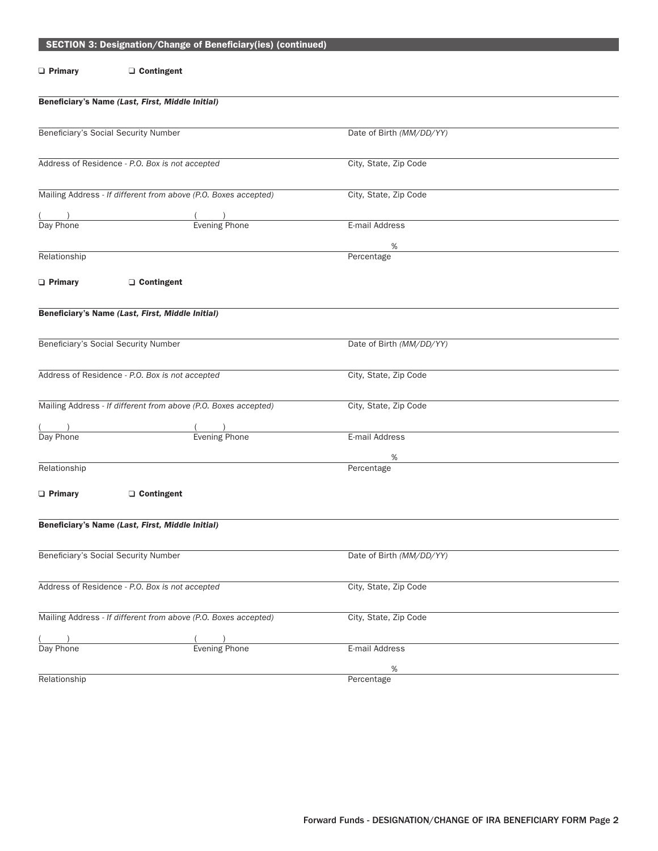|                                                 | SECTION 3: Designation/Change of Beneficiary(ies) (continued)   |                          |  |
|-------------------------------------------------|-----------------------------------------------------------------|--------------------------|--|
|                                                 |                                                                 |                          |  |
| $\Box$ Primary                                  | □ Contingent                                                    |                          |  |
|                                                 |                                                                 |                          |  |
|                                                 | Beneficiary's Name (Last, First, Middle Initial)                |                          |  |
|                                                 |                                                                 |                          |  |
|                                                 | Beneficiary's Social Security Number                            | Date of Birth (MM/DD/YY) |  |
|                                                 |                                                                 |                          |  |
|                                                 |                                                                 |                          |  |
|                                                 | Address of Residence - P.O. Box is not accepted                 | City, State, Zip Code    |  |
|                                                 |                                                                 |                          |  |
|                                                 | Mailing Address - If different from above (P.O. Boxes accepted) | City, State, Zip Code    |  |
|                                                 |                                                                 |                          |  |
| $\frac{1}{\text{Day Phone}}$                    | $\frac{(1)}{Evening Phone}$                                     | E-mail Address           |  |
|                                                 |                                                                 |                          |  |
|                                                 |                                                                 | %                        |  |
| Relationship                                    |                                                                 | Percentage               |  |
| $\Box$ Primary                                  |                                                                 |                          |  |
|                                                 | □ Contingent                                                    |                          |  |
|                                                 |                                                                 |                          |  |
|                                                 | Beneficiary's Name (Last, First, Middle Initial)                |                          |  |
|                                                 |                                                                 |                          |  |
|                                                 | Beneficiary's Social Security Number                            | Date of Birth (MM/DD/YY) |  |
|                                                 |                                                                 |                          |  |
|                                                 | Address of Residence - P.O. Box is not accepted                 | City, State, Zip Code    |  |
|                                                 |                                                                 |                          |  |
|                                                 |                                                                 |                          |  |
|                                                 | Mailing Address - If different from above (P.O. Boxes accepted) | City, State, Zip Code    |  |
|                                                 |                                                                 |                          |  |
| Day Phone                                       | <b>Evening Phone</b>                                            | E-mail Address           |  |
|                                                 |                                                                 | %                        |  |
| Relationship                                    |                                                                 | Percentage               |  |
|                                                 |                                                                 |                          |  |
| $\Box$ Primary                                  | □ Contingent                                                    |                          |  |
|                                                 |                                                                 |                          |  |
|                                                 | Beneficiary's Name (Last, First, Middle Initial)                |                          |  |
|                                                 |                                                                 |                          |  |
|                                                 |                                                                 |                          |  |
|                                                 | Beneficiary's Social Security Number                            | Date of Birth (MM/DD/YY) |  |
|                                                 |                                                                 |                          |  |
| Address of Residence - P.O. Box is not accepted |                                                                 | City, State, Zip Code    |  |
|                                                 |                                                                 |                          |  |
|                                                 | Mailing Address - If different from above (P.O. Boxes accepted) | City, State, Zip Code    |  |
|                                                 |                                                                 |                          |  |
|                                                 |                                                                 | E-mail Address           |  |
| Day Phone                                       | Evening Phone                                                   |                          |  |
|                                                 |                                                                 | $\%$                     |  |
| Relationship                                    |                                                                 | Percentage               |  |